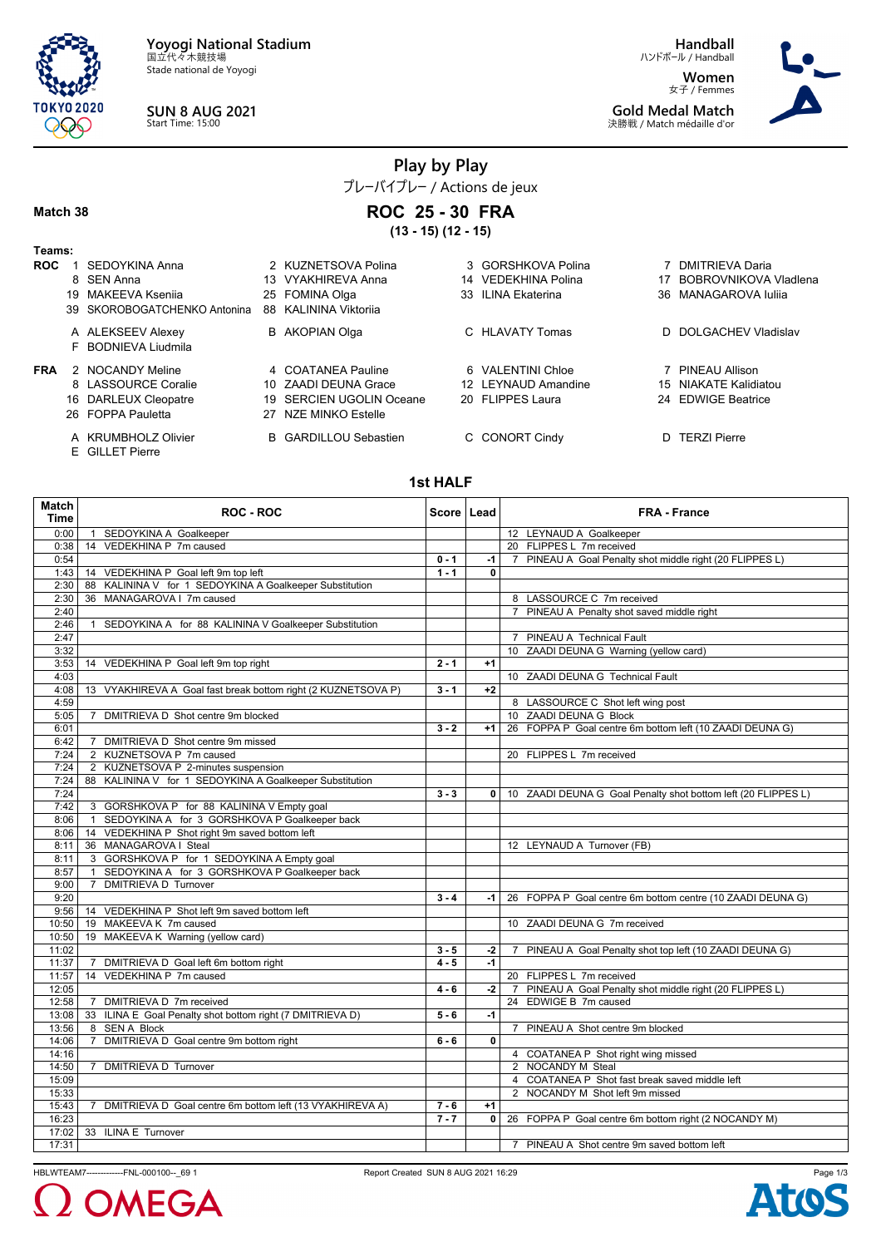

Stade national de Yoyogi



**Handball** ハンドボール / Handball

**Women** 女子 / Femmes **Gold Medal Match** 決勝戦 / Match médaille d'or



## **Play by Play**

プレーバイプレー / Actions de jeux **ROC 25 - 30 FRA**

#### **Match 38**

**(13 - 15) (12 - 15) Teams: ROC** 1 SEDOYKINA Anna 2 KUZNETSOVA Polina 3 GORSHKOVA Polina 7 DMITRIEVA Daria 8 SEN Anna 13 VYAKHIREVA Anna 14 VEDEKHINA Polina 17 BOBROVNIKOVA Vladlena 19 MAKEEVA Kseniia 25 FOMINA Olga 33 ILINA Ekaterina 36 MANAGAROVA Iuliia 39 SKOROBOGATCHENKO Antonina 88 KALININA Viktoriia A ALEKSEEV Alexey **B** AKOPIAN Olga **C HLAVATY Tomas** D DOLGACHEV Vladislav F BODNIEVA Liudmila **FRA** 2 NOCANDY Meline 4 COATANEA Pauline 6 VALENTINI Chloe 7 PINEAU Allison<br>8 LASSOURCE Coralie 10 ZAADI DEUNA Grace 12 LEYNAUD Amandine 15 NIAKATE Kalidia 10 ZAADI DEUNA Grace 12 LEYNAUD Amandine 15 NIAKATE Kalidiatou 16 DARLEUX Cleopatre 19 SERCIEN UGOLIN Oceane 20 FLIPPES Laura 24 EDWIGE Beatrice 26 FOPPA Pauletta 27 NZE MINKO Estelle A KRUMBHOLZ Olivier **B** GARDILLOU Sebastien **C CONORT Cindy D** TERZI Pierre

E GILLET Pierre

#### **1st HALF**

| <b>Match</b> |                                                               |              |              |                                                                 |
|--------------|---------------------------------------------------------------|--------------|--------------|-----------------------------------------------------------------|
| <b>Time</b>  | ROC - ROC                                                     | Score   Lead |              | <b>FRA - France</b>                                             |
| 0:00         | 1 SEDOYKINA A Goalkeeper                                      |              |              | 12 LEYNAUD A Goalkeeper                                         |
| 0:38         | 14 VEDEKHINA P 7m caused                                      |              |              | 20 FLIPPES L 7m received                                        |
| 0:54         |                                                               | $0 - 1$      | $-1$         | 7 PINEAU A Goal Penalty shot middle right (20 FLIPPES L)        |
| 1:43         | 14 VEDEKHINA P Goal left 9m top left                          | $1 - 1$      | 0            |                                                                 |
| 2:30         | 88 KALININA V for 1 SEDOYKINA A Goalkeeper Substitution       |              |              |                                                                 |
| 2:30         | 36 MANAGAROVA   7m caused                                     |              |              | 8 LASSOURCE C 7m received                                       |
| 2:40         |                                                               |              |              | 7 PINEAU A Penalty shot saved middle right                      |
| 2:46         | 1 SEDOYKINA A for 88 KALININA V Goalkeeper Substitution       |              |              |                                                                 |
| 2:47         |                                                               |              |              | 7 PINEAU A Technical Fault                                      |
| 3:32         |                                                               |              |              | 10 ZAADI DEUNA G Warning (yellow card)                          |
| 3:53         | 14 VEDEKHINA P Goal left 9m top right                         | $2 - 1$      | $+1$         |                                                                 |
| 4:03         |                                                               |              |              | 10 ZAADI DEUNA G Technical Fault                                |
| 4:08         | 13 VYAKHIREVA A Goal fast break bottom right (2 KUZNETSOVA P) | $3 - 1$      | $+2$         |                                                                 |
| 4:59         |                                                               |              |              | 8 LASSOURCE C Shot left wing post                               |
| 5:05         | DMITRIEVA D Shot centre 9m blocked<br>$\overline{7}$          |              |              | 10 ZAADI DEUNA G Block                                          |
| 6:01         |                                                               | $3 - 2$      | $+1$         | 26 FOPPA P Goal centre 6m bottom left (10 ZAADI DEUNA G)        |
| 6:42         | 7 DMITRIEVA D Shot centre 9m missed                           |              |              |                                                                 |
| 7:24         | 2 KUZNETSOVA P 7m caused                                      |              |              | 20 FLIPPES L 7m received                                        |
| 7:24         | 2 KUZNETSOVA P 2-minutes suspension                           |              |              |                                                                 |
| 7:24         | 88 KALININA V for 1 SEDOYKINA A Goalkeeper Substitution       |              |              |                                                                 |
| 7:24         |                                                               | $3 - 3$      | $\mathbf{0}$ | 10 ZAADI DEUNA G Goal Penalty shot bottom left (20 FLIPPES L)   |
| 7:42         | 3 GORSHKOVA P for 88 KALININA V Empty goal                    |              |              |                                                                 |
| 8:06         | 1 SEDOYKINA A for 3 GORSHKOVA P Goalkeeper back               |              |              |                                                                 |
| 8:06         | 14 VEDEKHINA P Shot right 9m saved bottom left                |              |              |                                                                 |
| 8:11         | 36 MANAGAROVA I Steal                                         |              |              | 12 LEYNAUD A Turnover (FB)                                      |
| 8:11         | 3 GORSHKOVA P for 1 SEDOYKINA A Empty goal                    |              |              |                                                                 |
| 8:57         | SEDOYKINA A for 3 GORSHKOVA P Goalkeeper back<br>$\mathbf{1}$ |              |              |                                                                 |
| 9:00         | <b>DMITRIEVA D Turnover</b><br>$\overline{7}$                 |              |              |                                                                 |
| 9:20         |                                                               | $3 - 4$      |              | -1   26 FOPPA P Goal centre 6m bottom centre (10 ZAADI DEUNA G) |
| 9:56         | 14 VEDEKHINA P Shot left 9m saved bottom left                 |              |              |                                                                 |
| 10:50        | 19 MAKEEVA K 7m caused                                        |              |              | 10 ZAADI DEUNA G 7m received                                    |
| 10:50        | 19 MAKEEVA K Warning (yellow card)                            |              |              |                                                                 |
| 11:02        |                                                               | $3 - 5$      | $-2$         | 7 PINEAU A Goal Penalty shot top left (10 ZAADI DEUNA G)        |
| 11:37        | DMITRIEVA D Goal left 6m bottom right<br>$\overline{7}$       | $4 - 5$      | $-1$         |                                                                 |
| 11:57        | 14 VEDEKHINA P 7m caused                                      |              |              | 20 FLIPPES L 7m received                                        |
| 12:05        |                                                               | $4 - 6$      | $-2$         | 7 PINEAU A Goal Penalty shot middle right (20 FLIPPES L)        |
| 12:58        | 7 DMITRIEVA D 7m received                                     |              |              | 24 EDWIGE B 7m caused                                           |
| 13:08        | 33 ILINA E Goal Penalty shot bottom right (7 DMITRIEVA D)     | $5 - 6$      | -1           |                                                                 |
| 13:56        | 8 SEN A Block                                                 |              |              | 7 PINEAU A Shot centre 9m blocked                               |
| 14:06        | 7 DMITRIEVA D Goal centre 9m bottom right                     | $6 - 6$      | 0            |                                                                 |
| 14:16        |                                                               |              |              | 4 COATANEA P Shot right wing missed                             |
| 14:50        | 7 DMITRIEVA D Turnover                                        |              |              | 2 NOCANDY M Steal                                               |
| 15:09        |                                                               |              |              | 4 COATANEA P Shot fast break saved middle left                  |
| 15:33        |                                                               |              |              | 2 NOCANDY M Shot left 9m missed                                 |
| 15:43        | 7 DMITRIEVA D Goal centre 6m bottom left (13 VYAKHIREVA A)    | $7 - 6$      | $+1$         |                                                                 |
| 16:23        |                                                               | $7 - 7$      | 0            | 26 FOPPA P Goal centre 6m bottom right (2 NOCANDY M)            |
| 17:02        | 33 ILINA E Turnover                                           |              |              |                                                                 |
| 17:31        |                                                               |              |              | 7 PINEAU A Shot centre 9m saved bottom left                     |

HBLWTEAM7-------------FNL-000100--\_69 1 Report Created SUN 8 AUG 2021 16:29



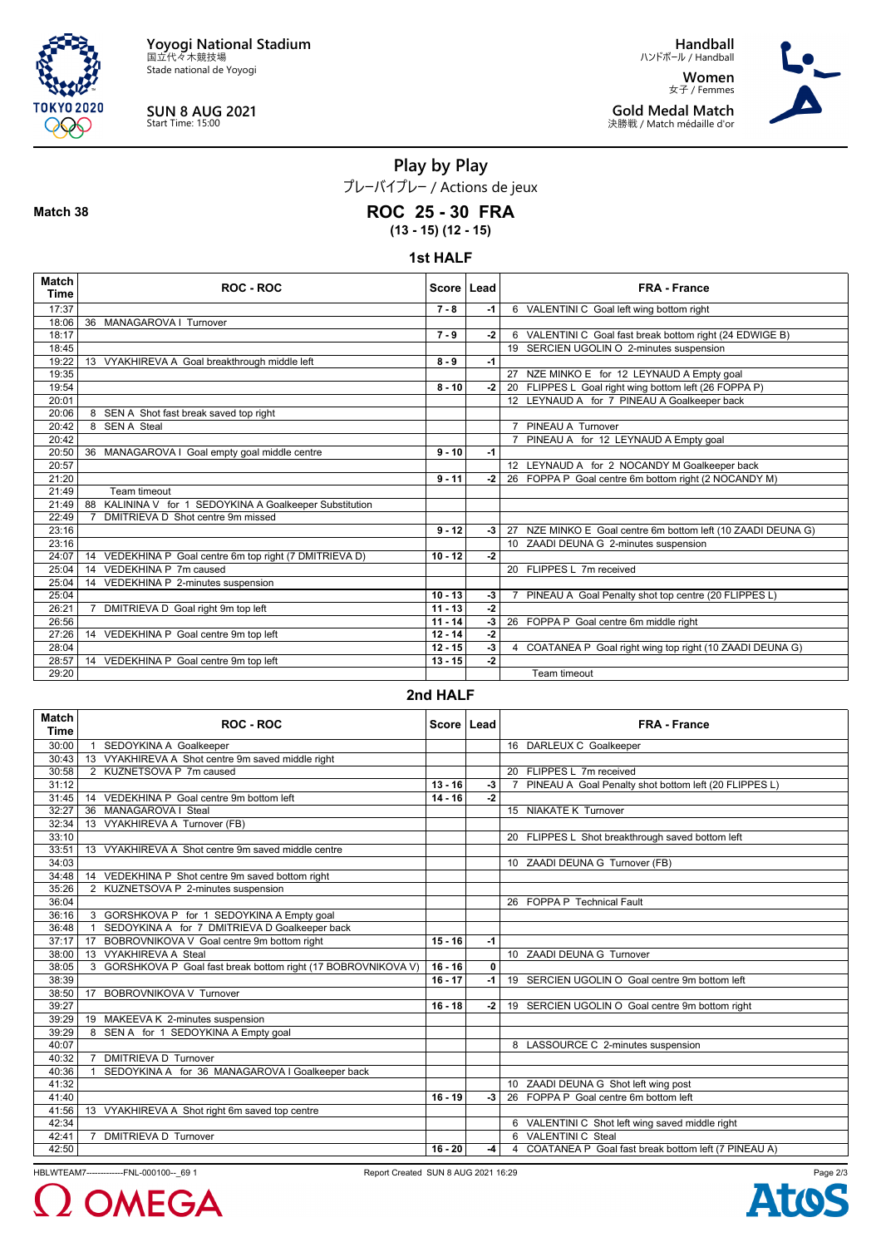

Stade national de Yoyogi



**Match 38**

**SUN 8 AUG 2021** Start Time: 15:00

**Handball** ハンドボール / Handball **Women** 女子 / Femmes **Gold Medal Match**

決勝戦 / Match médaille d'or



**Play by Play** プレーバイプレー / Actions de jeux **ROC 25 - 30 FRA**

**(13 - 15) (12 - 15)**

**1st HALF**

| Match<br><b>Time</b> | <b>ROC - ROC</b>                                           | Score   Lead |      | <b>FRA - France</b>                                          |
|----------------------|------------------------------------------------------------|--------------|------|--------------------------------------------------------------|
| 17:37                |                                                            | $7 - 8$      | -1   | 6 VALENTINI C Goal left wing bottom right                    |
| 18:06                | 36 MANAGAROVA   Turnover                                   |              |      |                                                              |
| 18:17                |                                                            | $7 - 9$      | -2   | 6 VALENTINI C Goal fast break bottom right (24 EDWIGE B)     |
| 18:45                |                                                            |              |      | 19 SERCIEN UGOLIN O 2-minutes suspension                     |
| 19:22                | 13 VYAKHIREVA A Goal breakthrough middle left              | $8 - 9$      | $-1$ |                                                              |
| 19:35                |                                                            |              |      | 27 NZE MINKO E for 12 LEYNAUD A Empty goal                   |
| 19:54                |                                                            | $8 - 10$     | $-2$ | 20 FLIPPES L Goal right wing bottom left (26 FOPPA P)        |
| 20:01                |                                                            |              |      | 12 LEYNAUD A for 7 PINEAU A Goalkeeper back                  |
| 20:06                | 8 SEN A Shot fast break saved top right                    |              |      |                                                              |
| 20:42                | 8 SEN A Steal                                              |              |      | PINEAU A Turnover                                            |
| 20:42                |                                                            |              |      | 7 PINEAU A for 12 LEYNAUD A Empty goal                       |
| 20:50                | 36 MANAGAROVA I Goal empty goal middle centre              | $9 - 10$     | $-1$ |                                                              |
| 20:57                |                                                            |              |      | 12 LEYNAUD A for 2 NOCANDY M Goalkeeper back                 |
| 21:20                |                                                            | $9 - 11$     | $-2$ | 26 FOPPA P Goal centre 6m bottom right (2 NOCANDY M)         |
| 21:49                | Team timeout                                               |              |      |                                                              |
| 21:49                | KALININA V for 1 SEDOYKINA A Goalkeeper Substitution<br>88 |              |      |                                                              |
| 22:49                | DMITRIEVA D Shot centre 9m missed                          |              |      |                                                              |
| 23:16                |                                                            | $9 - 12$     | $-3$ | 27 NZE MINKO E Goal centre 6m bottom left (10 ZAADI DEUNA G) |
| 23:16                |                                                            |              |      | 10 ZAADI DEUNA G 2-minutes suspension                        |
| 24:07                | 14 VEDEKHINA P Goal centre 6m top right (7 DMITRIEVA D)    | $10 - 12$    | $-2$ |                                                              |
| 25:04                | VEDEKHINA P 7m caused<br>14                                |              |      | 20 FLIPPES L 7m received                                     |
| 25:04                | 14 VEDEKHINA P 2-minutes suspension                        |              |      |                                                              |
| 25:04                |                                                            | $10 - 13$    | -3   | PINEAU A Goal Penalty shot top centre (20 FLIPPES L)         |
| 26:21                | $\overline{7}$<br>DMITRIEVA D Goal right 9m top left       | $11 - 13$    | $-2$ |                                                              |
| 26:56                |                                                            | $11 - 14$    | -3   | 26 FOPPA P Goal centre 6m middle right                       |
| 27:26                | 14 VEDEKHINA P Goal centre 9m top left                     | $12 - 14$    | $-2$ |                                                              |
| 28:04                |                                                            | $12 - 15$    | -3   | 4 COATANEA P Goal right wing top right (10 ZAADI DEUNA G)    |
| 28:57                | 14 VEDEKHINA P Goal centre 9m top left                     | $13 - 15$    | -2   |                                                              |
| 29:20                |                                                            |              |      | Team timeout                                                 |

### **2nd HALF**

| <b>Match</b><br><b>Time</b> | ROC - ROC                                                         | Score   Lead |             | <b>FRA - France</b>                                                     |
|-----------------------------|-------------------------------------------------------------------|--------------|-------------|-------------------------------------------------------------------------|
| 30:00                       | SEDOYKINA A Goalkeeper                                            |              |             | 16 DARLEUX C Goalkeeper                                                 |
| 30:43                       | VYAKHIREVA A Shot centre 9m saved middle right<br>13              |              |             |                                                                         |
| 30:58                       | 2 KUZNETSOVA P 7m caused                                          |              |             | 20 FLIPPES L 7m received                                                |
| 31:12                       |                                                                   | $13 - 16$    | $-3$        | PINEAU A Goal Penalty shot bottom left (20 FLIPPES L)<br>$\overline{7}$ |
| 31:45                       | 14 VEDEKHINA P Goal centre 9m bottom left                         | $14 - 16$    | $-2$        |                                                                         |
| 32:27                       | MANAGAROVA   Steal<br>36                                          |              |             | 15 NIAKATE K Turnover                                                   |
| 32:34                       | 13 VYAKHIREVA A Turnover (FB)                                     |              |             |                                                                         |
| 33:10                       |                                                                   |              |             | 20 FLIPPES L Shot breakthrough saved bottom left                        |
| 33:51                       | 13 VYAKHIREVA A Shot centre 9m saved middle centre                |              |             |                                                                         |
| 34:03                       |                                                                   |              |             | 10 ZAADI DEUNA G Turnover (FB)                                          |
| 34:48                       | 14 VEDEKHINA P Shot centre 9m saved bottom right                  |              |             |                                                                         |
| 35:26                       | 2 KUZNETSOVA P 2-minutes suspension                               |              |             |                                                                         |
| 36:04                       |                                                                   |              |             | 26 FOPPA P Technical Fault                                              |
| 36:16                       | 3 GORSHKOVA P for 1 SEDOYKINA A Empty goal                        |              |             |                                                                         |
| 36:48                       | SEDOYKINA A for 7 DMITRIEVA D Goalkeeper back<br>$\overline{1}$   |              |             |                                                                         |
| 37:17                       | BOBROVNIKOVA V Goal centre 9m bottom right<br>17                  | $15 - 16$    | $-1$        |                                                                         |
| 38:00                       | 13 VYAKHIREVA A Steal                                             |              |             | 10 ZAADI DEUNA G Turnover                                               |
| 38:05                       | GORSHKOVA P Goal fast break bottom right (17 BOBROVNIKOVA V)<br>3 | $16 - 16$    | $\mathbf 0$ |                                                                         |
| 38:39                       |                                                                   | $16 - 17$    | $-1$        | 19 SERCIEN UGOLIN O Goal centre 9m bottom left                          |
| 38:50                       | <b>BOBROVNIKOVA V Turnover</b><br>17                              |              |             |                                                                         |
| 39:27                       |                                                                   | $16 - 18$    | -2          | 19 SERCIEN UGOLIN O Goal centre 9m bottom right                         |
| 39:29                       | MAKEEVA K 2-minutes suspension<br>19                              |              |             |                                                                         |
| 39:29                       | SEN A for 1 SEDOYKINA A Empty goal<br>8                           |              |             |                                                                         |
| 40:07                       |                                                                   |              |             | 8 LASSOURCE C 2-minutes suspension                                      |
| 40:32                       | <b>DMITRIEVA D Turnover</b><br>$\overline{7}$                     |              |             |                                                                         |
| 40:36                       | SEDOYKINA A for 36 MANAGAROVA I Goalkeeper back                   |              |             |                                                                         |
| 41:32                       |                                                                   |              |             | 10 ZAADI DEUNA G Shot left wing post                                    |
| 41:40                       |                                                                   | $16 - 19$    | $-3$        | 26 FOPPA P Goal centre 6m bottom left                                   |
| 41:56                       | 13 VYAKHIREVA A Shot right 6m saved top centre                    |              |             |                                                                         |
| 42:34                       |                                                                   |              |             | 6 VALENTINI C Shot left wing saved middle right                         |
| 42:41                       | <b>DMITRIEVA D Turnover</b><br>$\overline{7}$                     |              |             | 6 VALENTINI C Steal                                                     |
| 42:50                       |                                                                   | $16 - 20$    | -4          | 4 COATANEA P Goal fast break bottom left (7 PINEAU A)                   |

HBLWTEAM7--------------FNL-000100--\_69 1 Report Created SUN 8 AUG 2021 16:29

**OMEGA** 

Page 2/3**Ato**